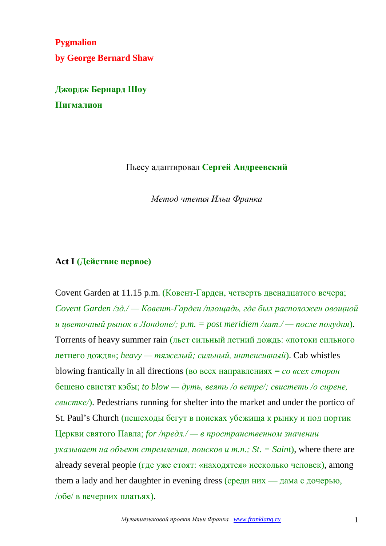**Pygmalion by George Bernard Shaw**

**Джордж Бернард Шоу Пигмалион**

#### Пьесу адаптировал **Сергей Андреевский**

*Метод чтения Ильи Франка*

#### **Act I (Действие первое)**

Covent Garden at 11.15 p.m. (Ковент-Гарден, четверть двенадцатого вечера; *Covent Garden /зд./ — Ковент-Гарден /площадь, где был расположен овощной и цветочный рынок в Лондоне/; p.m. = post meridiem /лат./ — после полудня*). Torrents of heavy summer rain (льет сильный летний дождь: «потоки сильного летнего дождя»; *heavy — тяжелый; сильный, интенсивный*). Cab whistles blowing frantically in all directions (во всех направлениях = *со всех сторон* бешено свистят кэбы; *to blow — дуть, веять /о ветре/; свистеть /о сирене, свистке/*). Pedestrians running for shelter into the market and under the portico of St. Paul's Church (пешеходы бегут в поисках убежища к рынку и под портик Церкви святого Павла; *for /предл./ — в пространственном значении указывает на объект стремления, поисков и т.п.; St. = Saint*), where there are already several people (где уже стоят: «находятся» несколько человек), among them a lady and her daughter in evening dress (среди них — дама с дочерью, /обе/ в вечерних платьях).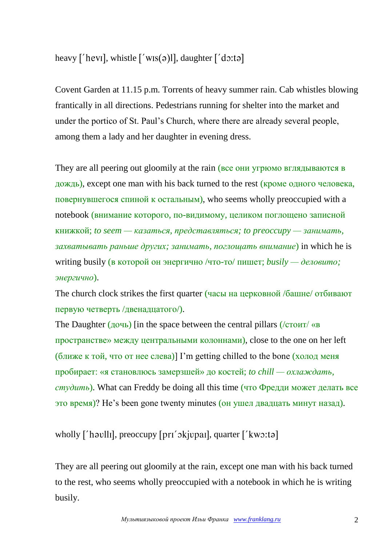heavy ['hevi], whistle  $\lceil$ 'wis $\lceil$ (a)]], daughter  $\lceil$ 'do:ta]

Covent Garden at 11.15 p.m. Torrents of heavy summer rain. Cab whistles blowing frantically in all directions. Pedestrians running for shelter into the market and under the portico of St. Paul's Church, where there are already several people, among them a lady and her daughter in evening dress.

They are all peering out gloomily at the rain (все они угрюмо вглядываются в дождь), except one man with his back turned to the rest (кроме одного человека, повернувшегося спиной к остальным), who seems wholly preoccupied with a notebook (внимание которого, по-видимому, целиком поглощено записной книжкой; *to seem — казаться, представляться; to preoccupy — занимать, захватывать раньше других; занимать, поглощать внимание*) in which he is writing busily (в которой он энергично /что-то/ пишет; *busily — деловито; энергично*).

The church clock strikes the first quarter (часы на церковной /башне/ отбивают первую четверть /двенадцатого/).

The Daughter (дочь) [in the space between the central pillars (/стоит/ «в пространстве» между центральными колоннами), close to the one on her left (ближе к той, что от нее слева)] I'm getting chilled to the bone (холод меня пробирает: «я становлюсь замерзшей» до костей; *to chill — охлаждать, студить*). What can Freddy be doing all this time (что Фредди может делать все это время)? He's been gone twenty minutes (он ушел двадцать минут назад).

wholly ['havlli], preoccupy [pri' okjupai], quarter ['kwo:ta]

They are all peering out gloomily at the rain, except one man with his back turned to the rest, who seems wholly preoccupied with a notebook in which he is writing busily.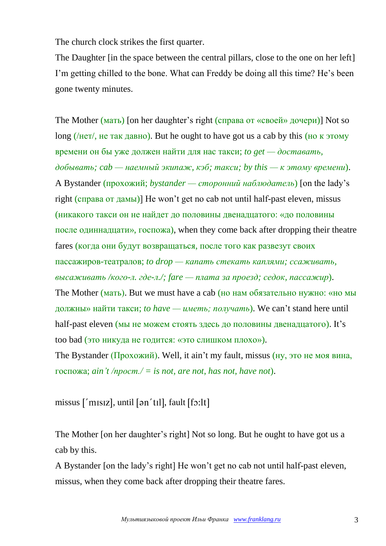The church clock strikes the first quarter.

The Daughter [in the space between the central pillars, close to the one on her left] I'm getting chilled to the bone. What can Freddy be doing all this time? He's been gone twenty minutes.

The Mother (мать) [on her daughter's right (справа от «своей» дочери)] Not so long (/нет/, не так давно). But he ought to have got us a cab by this (но к этому времени он бы уже должен найти для нас такси; *to get — доставать, добывать; cab — наемный экипаж, кэб; такси; by this — к этому времени*). A Bystander (прохожий; *bystander — сторонний наблюдатель*) [on the lady's right (справа от дамы)] He won't get no cab not until half-past eleven, missus (никакого такси он не найдет до половины двенадцатого: «до половины после одиннадцати», госпожа), when they come back after dropping their theatre fares (когда они будут возвращаться, после того как развезут своих пассажиров-театралов; *to drop — капать стекать каплями; ссаживать, высаживать /кого-л. где-л./; fare — плата за проезд; седок, пассажир*). The Mother (мать). But we must have a cab (но нам обязательно нужно: «но мы должны» найти такси; *to have — иметь; получать*). We can't stand here until half-past eleven (мы не можем стоять здесь до половины двенадцатого). It's too bad (это никуда не годится: «это слишком плохо»). The Bystander (Прохожий). Well, it ain't my fault, missus (ну, это не моя вина,

госпожа; *ain't /прост./ = is not, are not, has not, have not*).

missus  $\lceil \n\dot{m} \rceil$  missus,  $\lceil \dot{m} \rceil$ ,  $\lceil \dot{m} \rceil$ ,  $\lceil \dot{m} \rceil$ ,  $\lceil \dot{m} \rceil$ ,  $\lceil \dot{m} \rceil$ ,  $\lceil \dot{m} \rceil$ 

The Mother [on her daughter's right] Not so long. But he ought to have got us a cab by this.

A Bystander [on the lady's right] He won't get no cab not until half-past eleven, missus, when they come back after dropping their theatre fares.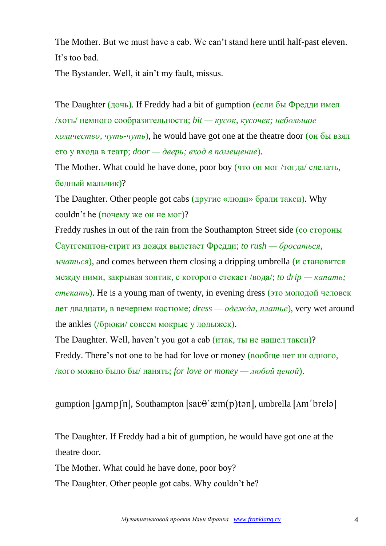The Mother. But we must have a cab. We can't stand here until half-past eleven. It's too bad.

The Bystander. Well, it ain't my fault, missus.

The Daughter (дочь). If Freddy had a bit of gumption (если бы Фредди имел /хоть/ немного сообразительности; *bit — кусок, кусочек; небольшое количество, чуть-чуть*), he would have got one at the theatre door (он бы взял его у входа в театр; *door — дверь; вход в помещение*).

The Mother. What could he have done, poor boy (что он мог /тогда/ сделать, бедный мальчик)?

The Daughter. Other people got cabs (другие «люди» брали такси). Why couldn't he (почему же он не мог)?

Freddy rushes in out of the rain from the Southampton Street side (со стороны Саутгемптон-стрит из дождя вылетает Фредди; *to rush — бросаться, мчаться*), and comes between them closing a dripping umbrella (и становится между ними, закрывая зонтик, с которого стекает /вода/; *to drip — капать; стекать*). He is a young man of twenty, in evening dress (это молодой человек лет двадцати, в вечернем костюме; *dress — одежда, платье*), very wet around the ankles (/брюки/ совсем мокрые у лодыжек).

The Daughter. Well, haven't you got a cab (итак, ты не нашел такси)? Freddy. There's not one to be had for love or money (вообще нет ни одного, /кого можно было бы/ нанять; *for love or money — любой ценой*).

gumption  $\lceil q \Delta m p \rceil n$ , Southampton  $\lceil \text{sav}\theta' \text{zem}(p) \text{tan} \rceil$ , umbrella  $\lceil \Delta m' \text{brel}\Theta \rceil$ 

The Daughter. If Freddy had a bit of gumption, he would have got one at the theatre door.

The Mother. What could he have done, poor boy?

The Daughter. Other people got cabs. Why couldn't he?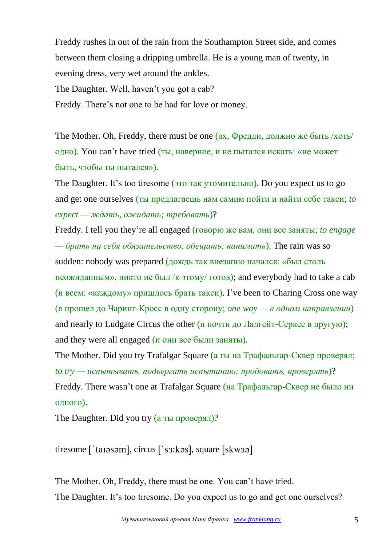Freddy rushes in out of the rain from the Southampton Street side, and comes between them closing a dripping umbrella. He is a young man of twenty, in evening dress, very wet around the ankles.

The Daughter. Well, haven't you got a cab?

Freddy. There's not one to be had for love or money.

The Mother. Oh, Freddy, there must be one (ах, Фредди, должно же быть /хоть/ одно). You can't have tried (ты, наверное, и не пытался искать: «не может быть, чтобы ты пытался»).

The Daughter. It's too tiresome (это так утомительно). Do you expect us to go and get one ourselves (ты предлагаешь нам самим пойти и найти себе такси; *to expect — ждать, ожидать; требовать*)?

Freddy. I tell you they're all engaged (говорю же вам, они все заняты; *to engage — брать на себя обязательство, обещать; нанимать*). The rain was so sudden: nobody was prepared (дождь так внезапно начался: «был столь неожиданным», никто не был /к этому/ готов); and everybody had to take a cab (и всем: «каждому» пришлось брать такси). I've been to Charing Cross one way (я прошел до Чаринг-Кросс в одну сторону; *one way — в одном направлении*) and nearly to Ludgate Circus the other (и почти до Ладгейт-Серкес в другую); and they were all engaged (и они все были заняты).

The Mother. Did you try Trafalgar Square (а ты на Трафальгар-Сквер проверял; *to try — испытывать, подвергать испытанию; пробовать, проверять*)? Freddy. There wasn't one at Trafalgar Square (на Трафальгар-Сквер не было ни одного).

The Daughter. Did you try (а ты проверял)?

 $t$ iresome  $\lceil$ ' taissam $\lceil$ , circus  $\lceil$ ' s $3:$ kas $\lceil$ , square  $\lceil$ skw $3$ a $\lceil$ 

The Mother. Oh, Freddy, there must be one. You can't have tried. The Daughter. It's too tiresome. Do you expect us to go and get one ourselves?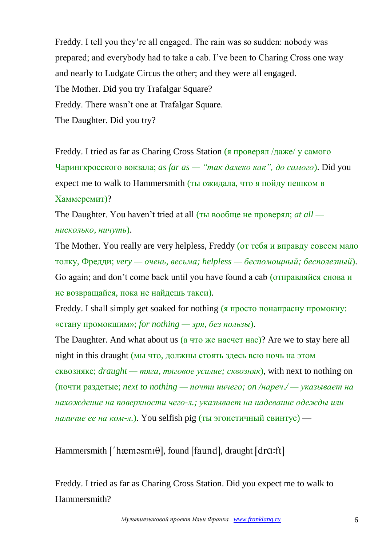Freddy. I tell you they're all engaged. The rain was so sudden: nobody was prepared; and everybody had to take a cab. I've been to Charing Cross one way and nearly to Ludgate Circus the other; and they were all engaged. The Mother. Did you try Trafalgar Square? Freddy. There wasn't one at Trafalgar Square. The Daughter. Did you try?

Freddy. I tried as far as Charing Cross Station (я проверял /даже/ у самого Чарингкросского вокзала; *as far as — "так далеко как", до самого*). Did you expect me to walk to Hammersmith (ты ожидала, что я пойду пешком в Хаммерсмит)?

The Daughter. You haven't tried at all (ты вообще не проверял; *at all нисколько, ничуть*).

The Mother. You really are very helpless, Freddy (от тебя и вправду совсем мало толку, Фредди; *very — очень, весьма; helpless — беспомощный; бесполезный*). Go again; and don't come back until you have found a cab (отправляйся снова и не возвращайся, пока не найдешь такси).

Freddy. I shall simply get soaked for nothing (я просто понапрасну промокну: «стану промокшим»; *for nothing — зря, без пользы*).

The Daughter. And what about us (а что же насчет нас)? Are we to stay here all night in this draught (мы что, должны стоять здесь всю ночь на этом сквозняке; *draught — тяга, тяговое усилие; сквозняк*), with next to nothing on (почти раздетые; *next to nothing — почти ничего; on /нареч./ — указывает на нахождение на поверхности чего-л.; указывает на надевание одежды или наличие ее на ком-л.*). You selfish pig (ты эгоистичный свинтус) —

Hammersmith ['hæməsmi $\theta$ ], found [faund], draught [dr $\alpha$ :ft]

Freddy. I tried as far as Charing Cross Station. Did you expect me to walk to Hammersmith?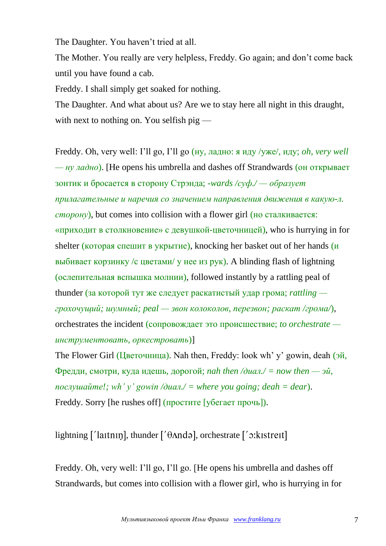The Daughter. You haven't tried at all.

The Mother. You really are very helpless, Freddy. Go again; and don't come back until you have found a cab.

Freddy. I shall simply get soaked for nothing.

The Daughter. And what about us? Are we to stay here all night in this draught, with next to nothing on. You selfish pig —

Freddy. Oh, very well: I'll go, I'll go (ну, ладно: я иду /уже/, иду; *oh, very well — ну ладно*). [He opens his umbrella and dashes off Strandwards (он открывает зонтик и бросается в сторону Стрэнда; *-wards /суф./ — образует прилагательные и наречия со значением направления движения в какую-л. сторону*), but comes into collision with a flower girl (но сталкивается: «приходит в столкновение» с девушкой-цветочницей), who is hurrying in for shelter (которая спешит в укрытие), knocking her basket out of her hands (и выбивает корзинку /с цветами/ у нее из рук). A blinding flash of lightning (ослепительная вспышка молнии), followed instantly by a rattling peal of thunder (за которой тут же следует раскатистый удар грома; *rattling грохочущий; шумный; peal — звон колоколов, перезвон; раскат /грома/*), orchestrates the incident (сопровождает это происшествие; *to orchestrate инструментовать, оркестровать*)]

The Flower Girl (Цветочница). Nah then, Freddy: look wh' y' gowin, deah (эй, Фредди, смотри, куда идешь, дорогой; *nah then /диал./ = now then — эй, послушайте!; wh' y' gowin /диал./ = where you going; deah = dear*). Freddy. Sorry [he rushes off] (простите [убегает прочь]).

lightning  $\lceil$  laitnin], thunder  $\lceil$   $\theta$ Anda], orchestrate  $\lceil$   $\theta$ : kistreit]

Freddy. Oh, very well: I'll go, I'll go. [He opens his umbrella and dashes off Strandwards, but comes into collision with a flower girl, who is hurrying in for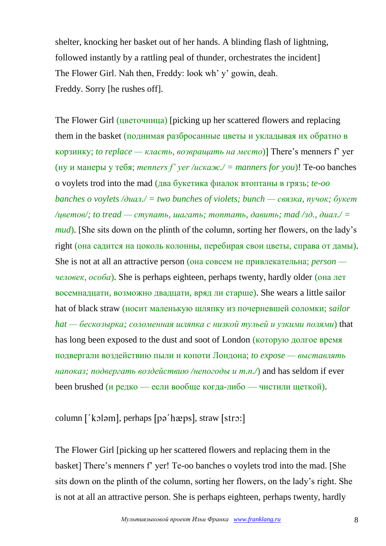shelter, knocking her basket out of her hands. A blinding flash of lightning, followed instantly by a rattling peal of thunder, orchestrates the incident] The Flower Girl. Nah then, Freddy: look wh' y' gowin, deah. Freddy. Sorry [he rushes off].

The Flower Girl (цветочница) [picking up her scattered flowers and replacing them in the basket (поднимая разбросанные цветы и укладывая их обратно в корзинку; *to replace — класть, возвращать на место*)] There's menners f' yer (ну и манеры у тебя; *menners f' yer /искаж./ = manners for you*)! Te-oo banches o voylets trod into the mad (два букетика фиалок втоптаны в грязь; *te-oo banches o voylets /диал./ = two bunches of violets; bunch — связка, пучок; букет /цветов/; to tread — ступать, шагать; топтать, давить; mad /зд., диал./ = mud*). [She sits down on the plinth of the column, sorting her flowers, on the lady's right (она садится на цоколь колонны, перебирая свои цветы, справа от дамы). She is not at all an attractive person (она совсем не привлекательна; *person человек, особа*). She is perhaps eighteen, perhaps twenty, hardly older (она лет восемнадцати, возможно двадцати, вряд ли старше). She wears a little sailor hat of black straw (носит маленькую шляпку из почерневшей соломки; *sailor hat — бескозырка; соломенная шляпка с низкой тульей и узкими полями*) that has long been exposed to the dust and soot of London (которую долгое время подвергали воздействию пыли и копоти Лондона; *to expose — выставлять напоказ; подвергать воздействию /непогоды и т.п./*) and has seldom if ever been brushed (и редко — если вообще когда-либо — чистили щеткой).

column ['kɔləm], perhaps [pə'hæps], straw [strɔ:]

The Flower Girl [picking up her scattered flowers and replacing them in the basket] There's menners f' yer! Te-oo banches o voylets trod into the mad. [She sits down on the plinth of the column, sorting her flowers, on the lady's right. She is not at all an attractive person. She is perhaps eighteen, perhaps twenty, hardly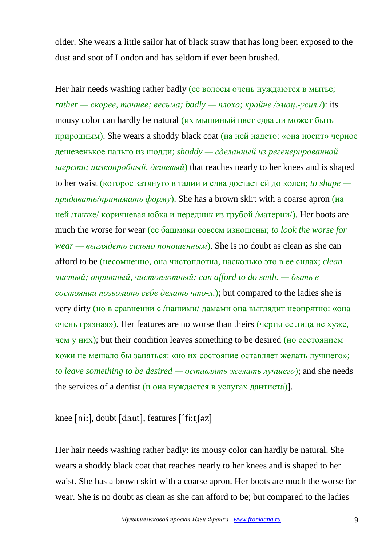older. She wears a little sailor hat of black straw that has long been exposed to the dust and soot of London and has seldom if ever been brushed.

Her hair needs washing rather badly (ее волосы очень нуждаются в мытье; *rather — скорее, точнее; весьма; badly — плохо; крайне /эмоц.-усил./*): its mousy color can hardly be natural (их мышиный цвет едва ли может быть природным). She wears a shoddy black coat (на ней надето: «она носит» черное дешевенькое пальто из шодди; *shoddy — сделанный из регенерированной шерсти; низкопробный, дешевый*) that reaches nearly to her knees and is shaped to her waist (которое затянуто в талии и едва достает ей до колен; *to shape придавать/принимать форму*). She has a brown skirt with a coarse apron (на ней /также/ коричневая юбка и передник из грубой /материи/). Her boots are much the worse for wear (ее башмаки совсем изношены; *to look the worse for wear — выглядеть сильно поношенным*). She is no doubt as clean as she can afford to be (несомненно, она чистоплотна, насколько это в ее силах; *clean чистый; опрятный, чистоплотный; can afford to do smth. — быть в состоянии позволить себе делать что-л.*); but compared to the ladies she is very dirty (но в сравнении с /нашими/ дамами она выглядит неопрятно: «она очень грязная»). Her features are no worse than theirs (черты ее лица не хуже, чем у них); but their condition leaves something to be desired (но состоянием кожи не мешало бы заняться: «но их состояние оставляет желать лучшего»; *to leave something to be desired — оставлять желать лучшего*); and she needs the services of a dentist (и она нуждается в услугах дантиста)].

# knee [ni:], doubt [daut], features ['fi:t [ $\sigma$ z]

Her hair needs washing rather badly: its mousy color can hardly be natural. She wears a shoddy black coat that reaches nearly to her knees and is shaped to her waist. She has a brown skirt with a coarse apron. Her boots are much the worse for wear. She is no doubt as clean as she can afford to be; but compared to the ladies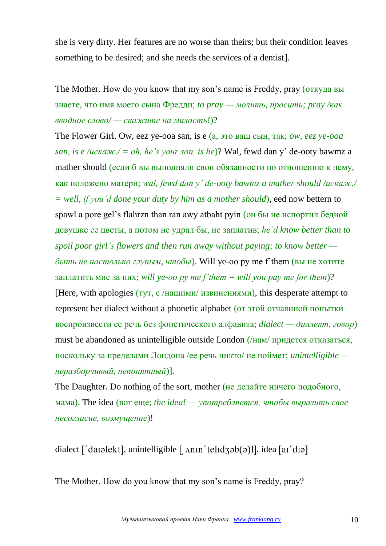she is very dirty. Her features are no worse than theirs; but their condition leaves something to be desired; and she needs the services of a dentist].

The Mother. How do you know that my son's name is Freddy, pray (откуда вы знаете, что имя моего сына Фредди; *to pray — молить, просить; pray /как вводное слово/ — скажите на милость!*)?

The Flower Girl. Ow, eez ye-ooa san, is e (а, это ваш сын, так; *ow, eez ye-ooa san, is e /искаж./ = oh, he's your son, is he*)? Wal, fewd dan y' de-ooty bawmz a mather should (если б вы выполняли свои обязанности по отношению к нему, как положено матери; *wal, fewd dan y' de-ooty bawmz a mather should /искаж./ = well, if you'd done your duty by him as a mother should*), eed now bettern to spawl a pore gel's flahrzn than ran awy atbaht pyin (он бы не испортил бедной девушке ее цветы, а потом не удрал бы, не заплатив; *he'd know better than to spoil poor girl's flowers and then run away without paying; to know better быть не настолько глупым, чтобы*). Will ye-oo py me f'them (вы не хотите заплатить мне за них; *will ye-oo py me f'them = will you pay me for them*)? [Here, with apologies (тут, с /нашими/ извинениями), this desperate attempt to represent her dialect without a phonetic alphabet (от этой отчаянной попытки воспроизвести ее речь без фонетического алфавита; *dialect — диалект, говор*) must be abandoned as unintelligible outside London (/нам/ придется отказаться, поскольку за пределами Лондона /ее речь никто/ не поймет; *unintelligible неразборчивый, непонятный*)].

The Daughter. Do nothing of the sort, mother (не делайте ничего подобного, мама). The idea (вот еще; *the idea! — употребляется, чтобы выразить свое несогласие, возмущение*)!

dialect  $\lceil$  darelekt], unintelligible  $\lceil$  Anin' telidz $\phi$ (a)l], idea  $\lceil$  and  $\eta$ 

The Mother. How do you know that my son's name is Freddy, pray?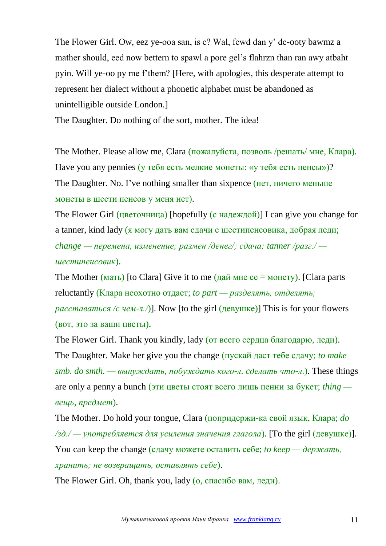The Flower Girl. Ow, eez ye-ooa san, is e? Wal, fewd dan y' de-ooty bawmz a mather should, eed now bettern to spawl a pore gel's flahrzn than ran awy atbaht pyin. Will ye-oo py me f'them? [Here, with apologies, this desperate attempt to represent her dialect without a phonetic alphabet must be abandoned as unintelligible outside London.]

The Daughter. Do nothing of the sort, mother. The idea!

The Mother. Please allow me, Clara (пожалуйста, позволь /решать/ мне, Клара). Have you any pennies (у тебя есть мелкие монеты: «у тебя есть пенсы»)? The Daughter. No. I've nothing smaller than sixpence (нет, ничего меньше монеты в шести пенсов у меня нет).

The Flower Girl (цветочница) [hopefully (с надеждой)] I can give you change for a tanner, kind lady (я могу дать вам сдачи с шестипенсовика, добрая леди; *change — перемена, изменение; размен /денег/; сдача; tanner /разг./ шестипенсовик*).

The Mother (мать) [to Clara] Give it to me (дай мне ее = монету). [Clara parts reluctantly (Клара неохотно отдает; *to part — разделять, отделять; расставаться /с чем-л./*)]. Now [to the girl (девушке)] This is for your flowers (вот, это за ваши цветы).

The Flower Girl. Thank you kindly, lady (от всего сердца благодарю, леди). The Daughter. Make her give you the change (пускай даст тебе сдачу; *to make*   $smb.$  do smth. — вынуждать, побуждать кого-л. сделать что-л.). These things are only a penny a bunch (эти цветы стоят всего лишь пенни за букет; *thing вещь, предмет*).

The Mother. Do hold your tongue, Clara (попридержи-ка свой язык, Клара; *do /зд./ — употребляется для усиления значения глагола*). [To the girl (девушке)]. You can keep the change (сдачу можете оставить себе; *to keep* — *держать*, *хранить; не возвращать, оставлять себе*).

The Flower Girl. Oh, thank you, lady (о, спасибо вам, леди).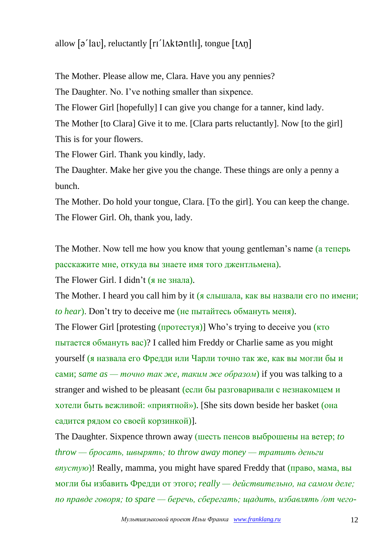# allow  $\lceil 2 \cdot \text{law} \rceil$ , reluctantly  $\lceil \text{ri}' \rceil$  Akt $\varphi$ ntli $\lceil \text{t} \text{Augue} \rceil$

The Mother. Please allow me, Clara. Have you any pennies?

The Daughter. No. I've nothing smaller than sixpence.

The Flower Girl [hopefully] I can give you change for a tanner, kind lady.

The Mother [to Clara] Give it to me. [Clara parts reluctantly]. Now [to the girl] This is for your flowers.

The Flower Girl. Thank you kindly, lady.

The Daughter. Make her give you the change. These things are only a penny a bunch.

The Mother. Do hold your tongue, Clara. [To the girl]. You can keep the change. The Flower Girl. Oh, thank you, lady.

The Mother. Now tell me how you know that young gentleman's name (а теперь расскажите мне, откуда вы знаете имя того джентльмена).

The Flower Girl. I didn't (я не знала).

The Mother. I heard you call him by it (я слышала, как вы назвали его по имени; *to hear*). Don't try to deceive me (не пытайтесь обмануть меня).

The Flower Girl [protesting (протестуя)] Who's trying to deceive you (кто пытается обмануть вас)? I called him Freddy or Charlie same as you might yourself (я назвала его Фредди или Чарли точно так же, как вы могли бы и сами; *same as — точно так же, таким же образом*) if you was talking to a stranger and wished to be pleasant (если бы разговаривали с незнакомцем и хотели быть вежливой: «приятной»). [She sits down beside her basket (она садится рядом со своей корзинкой)].

The Daughter. Sixpence thrown away (шесть пенсов выброшены на ветер; *to throw — бросать, швырять; to throw away money — тратить деньги впустую*)! Really, mamma, you might have spared Freddy that (право, мама, вы могли бы избавить Фредди от этого; *really — действительно, на самом деле; по правде говоря; to spare — беречь, сберегать; щадить, избавлять /от чего-*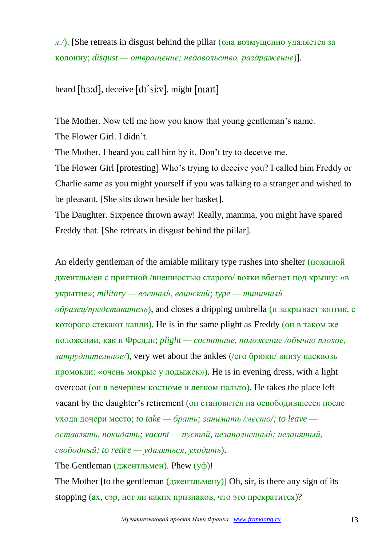*л./*). [She retreats in disgust behind the pillar (она возмущенно удаляется за колонну; *disgust — отвращение; недовольство, раздражение*)].

heard  $[$ h3:d $]$ , deceive  $[$ d $I$ 'si:v $]$ , might  $[$ mait $]$ 

The Mother. Now tell me how you know that young gentleman's name. The Flower Girl. I didn't.

The Mother. I heard you call him by it. Don't try to deceive me.

The Flower Girl [protesting] Who's trying to deceive you? I called him Freddy or Charlie same as you might yourself if you was talking to a stranger and wished to be pleasant. [She sits down beside her basket].

The Daughter. Sixpence thrown away! Really, mamma, you might have spared Freddy that. [She retreats in disgust behind the pillar].

An elderly gentleman of the amiable military type rushes into shelter (пожилой джентльмен с приятной /внешностью старого/ вояки вбегает под крышу: «в укрытие»; *military — военный, воинский; type — типичный образец/представитель*), and closes a dripping umbrella (и закрывает зонтик, с которого стекают капли). He is in the same plight as Freddy (он в таком же положении, как и Фредди; *plight — состояние, положение /обычно плохое, затруднительное/*), very wet about the ankles (/его брюки/ внизу насквозь промокли: «очень мокрые у лодыжек»). He is in evening dress, with a light overcoat (он в вечернем костюме и легком пальто). He takes the place left vacant by the daughter's retirement (он становится на освободившееся после ухода дочери место; *to take — брать; занимать /место/; to leave оставлять, покидать; vacant — пустой, незаполненный; незанятый, свободный; to retire — удаляться, уходить*).

The Gentleman (джентльмен). Phew (уф)!

The Mother [to the gentleman (джентльмену)] Oh, sir, is there any sign of its stopping (ах, сэр, нет ли каких признаков, что это прекратится)?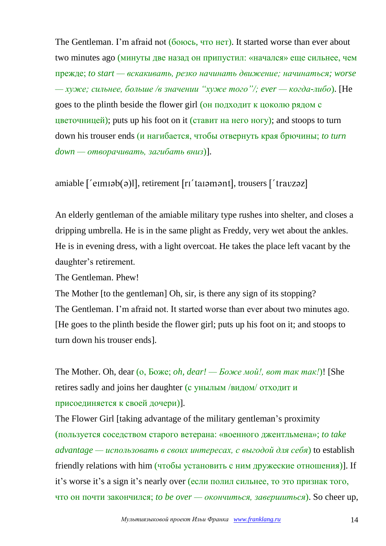The Gentleman. I'm afraid not (боюсь, что нет). It started worse than ever about two minutes ago (минуты две назад он припустил: «начался» еще сильнее, чем прежде; *to start — вскакивать, резко начинать движение; начинаться; worse — хуже; сильнее, больше /в значении "хуже того"/; ever — когда-либо*). [He goes to the plinth beside the flower girl (он подходит к цоколю рядом с цветочницей); puts up his foot on it (ставит на него ногу); and stoops to turn down his trouser ends (и нагибается, чтобы отвернуть края брючины; *to turn down — отворачивать, загибать вниз*)].

## amiable ['eɪmɪəb(ə)l], retirement [rɪ'taɪəmənt], trousers ['travzəz]

An elderly gentleman of the amiable military type rushes into shelter, and closes a dripping umbrella. He is in the same plight as Freddy, very wet about the ankles. He is in evening dress, with a light overcoat. He takes the place left vacant by the daughter's retirement.

The Gentleman. Phew!

The Mother [to the gentleman] Oh, sir, is there any sign of its stopping? The Gentleman. I'm afraid not. It started worse than ever about two minutes ago. [He goes to the plinth beside the flower girl; puts up his foot on it; and stoops to turn down his trouser ends].

The Mother. Oh, dear (о, Боже; *oh, dear! — Боже мой!, вот так так!*)! [She retires sadly and joins her daughter (с унылым /видом/ отходит и присоединяется к своей дочери)].

The Flower Girl [taking advantage of the military gentleman's proximity (пользуется соседством старого ветерана: «военного джентльмена»; *to take advantage — использовать в своих интересах, с выгодой для себя*) to establish friendly relations with him (чтобы установить с ним дружеские отношения)]. If it's worse it's a sign it's nearly over (если полил сильнее, то это признак того, что он почти закончился; *to be over — окончиться, завершиться*). So cheer up,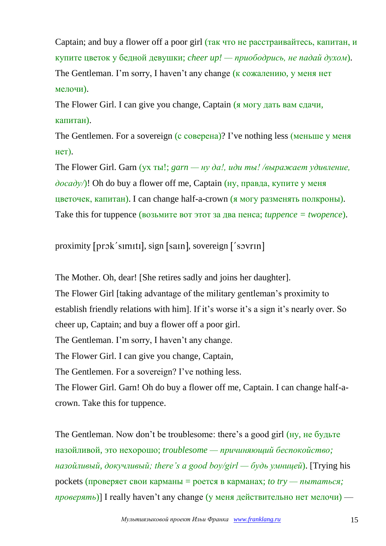Captain; and buy a flower off a poor girl (так что не расстраивайтесь, капитан, и купите цветок у бедной девушки; *cheer up! — приободрись, не падай духом*). The Gentleman. I'm sorry, I haven't any change (к сожалению, у меня нет мелочи).

The Flower Girl. I can give you change, Captain (я могу дать вам сдачи, капитан).

The Gentlemen. For a sovereign (с соверена)? I've nothing less (меньше у меня нет).

The Flower Girl. Garn (ух ты!; *garn — ну да!, иди ты! /выражает удивление, досаду/*)! Oh do buy a flower off me, Captain (ну, правда, купите у меня цветочек, капитан). I can change half-a-crown (я могу разменять полкроны). Take this for tuppence (возьмите вот этот за два пенса; *tuppence = twopence*).

proximity [prɔk´sɪmɪtɪ], sign [saɪn], sovereign ['sɔvrɪn]

The Mother. Oh, dear! [She retires sadly and joins her daughter]. The Flower Girl [taking advantage of the military gentleman's proximity to establish friendly relations with him]. If it's worse it's a sign it's nearly over. So cheer up, Captain; and buy a flower off a poor girl. The Gentleman. I'm sorry, I haven't any change.

The Flower Girl. I can give you change, Captain,

The Gentlemen. For a sovereign? I've nothing less.

The Flower Girl. Garn! Oh do buy a flower off me, Captain. I can change half-acrown. Take this for tuppence.

The Gentleman. Now don't be troublesome: there's a good girl (ну, не будьте назойливой, это нехорошо; *troublesome — причиняющий беспокойство; назойливый, докучливый; there's a good boy/girl — будь умницей*). [Trying his pockets (проверяет свои карманы = роется в карманах; *to try — пытаться; проверять*)] I really haven't any change (у меня действительно нет мелочи) —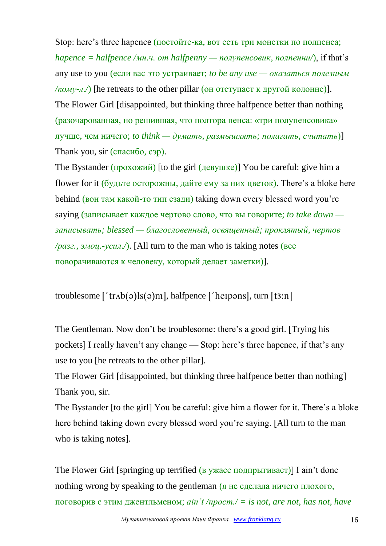Stop: here's three hapence (постойте-ка, вот есть три монетки по полпенса; *hapence = halfpence /мн.ч. от halfpenny — полупенсовик, полпенни/*), if that's any use to you (если вас это устраивает; *to be any use — оказаться полезным /кому-л.*/) [he retreats to the other pillar (он отступает к другой колонне)]. The Flower Girl [disappointed, but thinking three halfpence better than nothing (разочарованная, но решившая, что полтора пенса: «три полупенсовика» лучше, чем ничего; *to think — думать, размышлять; полагать, считать*)] Thank you, sir (спасибо, сэр).

The Bystander (прохожий) [to the girl (девушке)] You be careful: give him a flower for it (будьте осторожны, дайте ему за них цветок). There's a bloke here behind (вон там какой-то тип сзади) taking down every blessed word you're saying (записывает каждое чертово слово, что вы говорите; *to take down записывать; blessed — благословенный, освященный; проклятый, чертов /разг., эмоц.-усил./*). [All turn to the man who is taking notes (все поворачиваются к человеку, который делает заметки)].

troublesome  $\lceil$  'tr $\Lambda b(\sigma)$ ls $\lceil \sigma \rceil$ , halfpence  $\lceil$  'heipans], turn  $\lceil \sigma \rceil$ 

The Gentleman. Now don't be troublesome: there's a good girl. [Trying his pockets] I really haven't any change — Stop: here's three hapence, if that's any use to you [he retreats to the other pillar].

The Flower Girl [disappointed, but thinking three halfpence better than nothing] Thank you, sir.

The Bystander [to the girl] You be careful: give him a flower for it. There's a bloke here behind taking down every blessed word you're saying. [All turn to the man who is taking notes].

The Flower Girl [springing up terrified (в ужасе подпрыгивает)] I ain't done nothing wrong by speaking to the gentleman (я не сделала ничего плохого, поговорив с этим джентльменом; *ain't /прост./ = is not, are not, has not, have*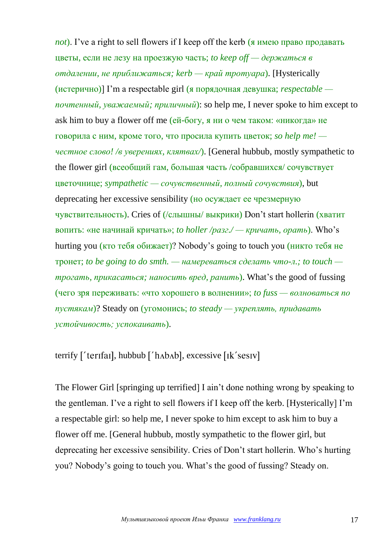*not*). I've a right to sell flowers if I keep off the kerb (я имею право продавать цветы, если не лезу на проезжую часть; *to keep off — держаться в отдалении, не приближаться; kerb — край тротуара*). [Hysterically (истерично)] I'm a respectable girl (я порядочная девушка; *respectable почтенный, уважаемый; приличный*): so help me, I never spoke to him except to ask him to buy a flower off me (ей-богу, я ни о чем таком: «никогда» не говорила с ним, кроме того, что просила купить цветок; *so help me! честное слово! /в уверениях, клятвах/*). [General hubbub, mostly sympathetic to the flower girl (всеобщий гам, большая часть /собравшихся/ сочувствует цветочнице; *sympathetic — сочувственный, полный сочувствия*), but deprecating her excessive sensibility (но осуждает ее чрезмерную чувствительность). Cries of (/слышны/ выкрики) Don't start hollerin (хватит вопить: «не начинай кричать»; *to holler /разг./ — кричать, орать*). Who's hurting you (кто тебя обижает)? Nobody's going to touch you (никто тебя не тронет; *to be going to do smth. — намереваться сделать что-л.; to touch трогать, прикасаться; наносить вред, ранить*). What's the good of fussing (чего зря переживать: «что хорошего в волнении»; *to fuss — волноваться по пустякам*)? Steady on (угомонись; *to steady — укреплять, придавать устойчивость; успокаивать*).

## terrify ['terifai], hubbub ['hʌbʌb], excessive [ik'sesiv]

The Flower Girl [springing up terrified] I ain't done nothing wrong by speaking to the gentleman. I've a right to sell flowers if I keep off the kerb. [Hysterically] I'm a respectable girl: so help me, I never spoke to him except to ask him to buy a flower off me. [General hubbub, mostly sympathetic to the flower girl, but deprecating her excessive sensibility. Cries of Don't start hollerin. Who's hurting you? Nobody's going to touch you. What's the good of fussing? Steady on.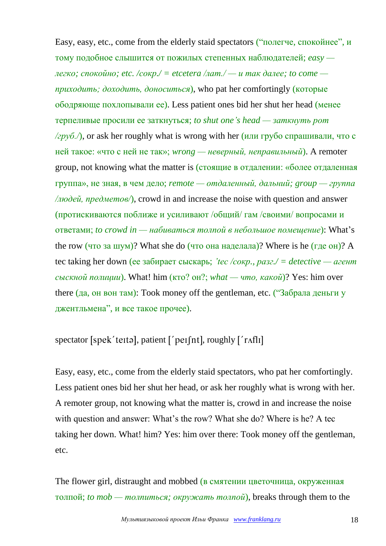Easy, easy, etc., come from the elderly staid spectators ("полегче, спокойнее", и тому подобное слышится от пожилых степенных наблюдателей; *easy легко; спокойно; etc. /сокр./ = etcetera /лат./ — и так далее; to come приходить; доходить, доноситься*), who pat her comfortingly (которые ободряюще похлопывали ее). Less patient ones bid her shut her head (менее терпеливые просили ее заткнуться; *to shut one's head — заткнуть рот /груб./*), or ask her roughly what is wrong with her (или грубо спрашивали, что с ней такое: «что с ней не так»; *wrong — неверный, неправильный*). A remoter group, not knowing what the matter is (стоящие в отдалении: «более отдаленная группа», не зная, в чем дело; *remote — отдаленный, дальний; group — группа /людей, предметов/*), crowd in and increase the noise with question and answer (протискиваются поближе и усиливают /общий/ гам /своими/ вопросами и ответами; *to crowd in — набиваться толпой в небольшое помещение*): What's the row (что за шум)? What she do (что она наделала)? Where is he (где он)? A tec taking her down (ее забирает сыскарь; *'tec /сокр., разг./ = detective — агент сыскной полиции*). What! him (кто? он?; *what — что, какой*)? Yes: him over there (да, он вон там): Took money off the gentleman, etc. ("Забрала деньги у джентльмена", и все такое прочее).

spectator [spek'teɪtə], patient  $['per[nt]$ , roughly  $['r\text{Afl}]$ ]

Easy, easy, etc., come from the elderly staid spectators, who pat her comfortingly. Less patient ones bid her shut her head, or ask her roughly what is wrong with her. A remoter group, not knowing what the matter is, crowd in and increase the noise with question and answer: What's the row? What she do? Where is he? A tec taking her down. What! him? Yes: him over there: Took money off the gentleman, etc.

The flower girl, distraught and mobbed (в смятении цветочница, окруженная толпой; *to mob — толпиться; окружать толпой*), breaks through them to the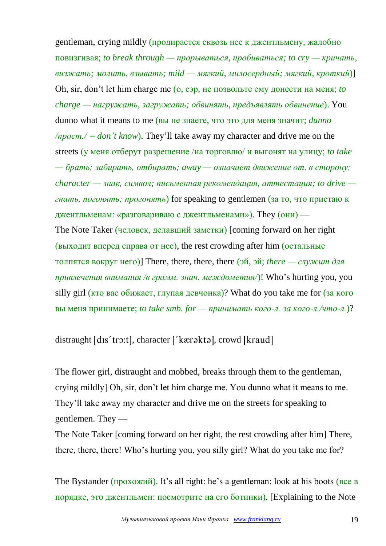gentleman, crying mildly (продирается сквозь нее к джентльмену, жалобно повизгивая; *to break through — прорываться, пробиваться; to cry — кричать, визжать; молить, взывать; mild — мягкий, милосердный; мягкий, кроткий*)] Oh, sir, don't let him charge me (о, сэр, не позвольте ему донести на меня; *to charge — нагружать, загружать; обвинять, предъявлять обвинение*). You dunno what it means to me (вы не знаете, что это для меня значит; *dunno /прост./ = don't know*). They'll take away my character and drive me on the streets (у меня отберут разрешение /на торговлю/ и выгонят на улицу; *to take — брать; забирать, отбирать; away — означает движение от, в сторону; character — знак, символ; письменная рекомендация, аттестация; to drive гнать, погонять; прогонять*) for speaking to gentlemen (за то, что пристаю к джентльменам: «разговариваю с джентльменами»). They (они) — The Note Taker (человек, делавший заметки) [coming forward on her right (выходит вперед справа от нее), the rest crowding after him (остальные толпятся вокруг него)] There, there, there, there (эй, эй; *there — служит для привлечения внимания /в грамм. знач. междометия/*)! Who's hurting you, you silly girl (кто вас обижает, глупая девчонка)? What do you take me for (за кого вы меня принимаете; *to take smb. for — принимать кого-л. за кого-л./что-л.*)?

distraught [dɪs'trɔ:t], character ['kærəktə], crowd [kraud]

The flower girl, distraught and mobbed, breaks through them to the gentleman, crying mildly] Oh, sir, don't let him charge me. You dunno what it means to me. They'll take away my character and drive me on the streets for speaking to gentlemen. They —

The Note Taker [coming forward on her right, the rest crowding after him] There, there, there, there! Who's hurting you, you silly girl? What do you take me for?

The Bystander (прохожий). It's all right: he's a gentleman: look at his boots (все в порядке, это джентльмен: посмотрите на его ботинки). [Explaining to the Note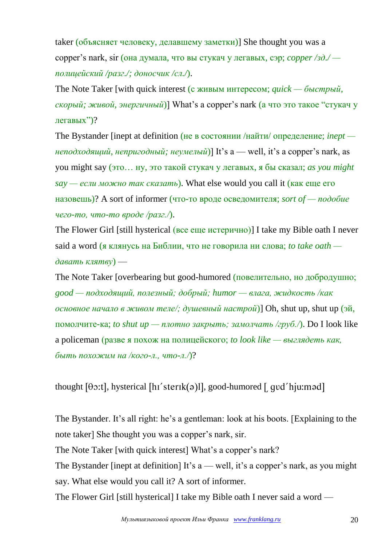taker (объясняет человеку, делавшему заметки)] She thought you was a copper's nark, sir (она думала, что вы стукач у легавых, сэр; *copper /зд./ полицейский /разг./; доносчик /сл./*).

The Note Taker [with quick interest (с живым интересом; *quick — быстрый, скорый; живой, энергичный*)] What's a copper's nark (а что это такое "стукач у легавых")?

The Bystander [inept at definition (не в состоянии /найти/ определение; *inept неподходящий, непригодный; неумелый*)] It's a — well, it's a copper's nark, as you might say (это… ну, это такой стукач у легавых, я бы сказал; *as you might say — если можно так сказать*). What else would you call it (как еще его назовешь)? A sort of informer (что-то вроде осведомителя; *sort of — подобие чего-то, что-то вроде /разг./*).

The Flower Girl [still hysterical (все еще истерично)] I take my Bible oath I never said a word (я клянусь на Библии, что не говорила ни слова; *to take oath давать клятву*) —

The Note Taker [overbearing but good-humored (повелительно, но добродушно; *good — подходящий, полезный; добрый; humor — влага, жидкость /как основное начало в живом теле/; душевный настрой*)] Oh, shut up, shut up (эй, помолчите-ка; *to shut up — плотно закрыть; замолчать /груб./*). Do I look like a policeman (разве я похож на полицейского; *to look like — выглядеть как, быть похожим на /кого-л., что-л./*)?

thought  $[\theta$ o:t], hysterical  $[\text{hi}']$  sterik(a)l], good-humored  $[\text{qud}'$  hju:mad]

The Bystander. It's all right: he's a gentleman: look at his boots. [Explaining to the note taker] She thought you was a copper's nark, sir.

The Note Taker [with quick interest] What's a copper's nark?

The Bystander [inept at definition] It's  $a$  — well, it's a copper's nark, as you might say. What else would you call it? A sort of informer.

The Flower Girl [still hysterical] I take my Bible oath I never said a word —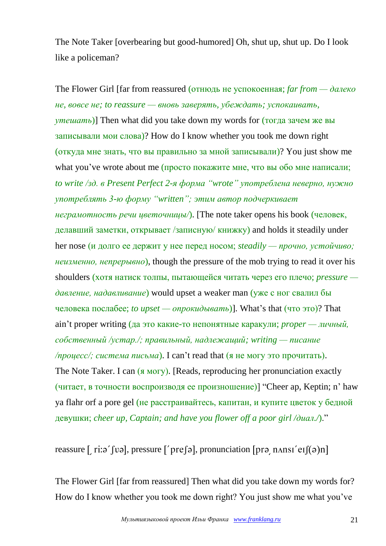The Note Taker [overbearing but good-humored] Oh, shut up, shut up. Do I look like a policeman?

The Flower Girl [far from reassured (отнюдь не успокоенная; *far from — далеко не, вовсе не; to reassure — вновь заверять, убеждать; успокаивать, утешать*)] Then what did you take down my words for (тогда зачем же вы записывали мои слова)? How do I know whether you took me down right (откуда мне знать, что вы правильно за мной записывали)? You just show me what you've wrote about me (просто покажите мне, что вы обо мне написали; *to write /зд. в Present Perfect 2-я форма "wrote" употреблена неверно, нужно употреблять 3-ю форму "written"; этим автор подчеркивает неграмотность речи цветочницы/*). [The note taker opens his book (человек, делавший заметки, открывает /записную/ книжку) and holds it steadily under her nose (и долго ее держит у нее перед носом; *steadily — прочно, устойчиво; неизменно, непрерывно*), though the pressure of the mob trying to read it over his shoulders (хотя натиск толпы, пытающейся читать через его плечо; *pressure давление, надавливание*) would upset a weaker man (уже с ног свалил бы человека послабее; *to upset — опрокидывать*)]. What's that (что это)? That ain't proper writing (да это какие-то непонятные каракули; *proper — личный, собственный /устар./; правильный, надлежащий; writing — писание /процесс/; система письма*). I can't read that (я не могу это прочитать). The Note Taker. I can (я могу). [Reads, reproducing her pronunciation exactly (читает, в точности воспроизводя ее произношение)] "Cheer ap, Keptin; n' haw ya flahr orf a pore gel (не расстраивайтесь, капитан, и купите цветок у бедной девушки; *cheer up, Captain; and have you flower off a poor girl /диал./*)."

reassure [ $\text{ri:} \mathfrak{g}'$  [va], pressure  $\lceil \text{pre}(\mathfrak{g}) \rceil$ , pronunciation  $\lceil \text{pre} \rceil$  n  $\text{ansr}' \text{er}(\mathfrak{g}) \rceil$ 

The Flower Girl [far from reassured] Then what did you take down my words for? How do I know whether you took me down right? You just show me what you've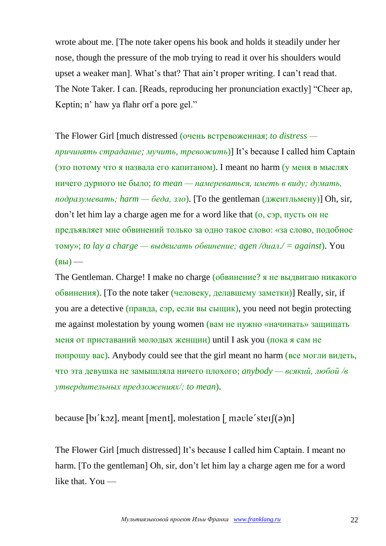wrote about me. [The note taker opens his book and holds it steadily under her nose, though the pressure of the mob trying to read it over his shoulders would upset a weaker man]. What's that? That ain't proper writing. I can't read that. The Note Taker. I can. [Reads, reproducing her pronunciation exactly] "Cheer ap, Keptin; n' haw ya flahr orf a pore gel."

The Flower Girl [much distressed (очень встревоженная; *to distress причинять страдание; мучить, тревожить*)] It's because I called him Captain (это потому что я назвала его капитаном). I meant no harm (у меня в мыслях ничего дурного не было; *to mean — намереваться, иметь в виду; думать, подразумевать; harm — беда, зло*). [To the gentleman  $(A \times B \times B)$ ] Oh, sir, don't let him lay a charge agen me for a word like that (о, сэр, пусть он не предъявляет мне обвинений только за одно такое слово: «за слово, подобное тому»; *to lay a charge — выдвигать обвинение; agen /диал./ = against*). You  $(BbI)$  —

The Gentleman. Charge! I make no charge (обвинение? я не выдвигаю никакого обвинения). [To the note taker (человеку, делавшему заметки)] Really, sir, if you are a detective (правда, сэр, если вы сыщик), you need not begin protecting me against molestation by young women (вам не нужно «начинать» защищать меня от приставаний молодых женщин) until I ask you (пока я сам не попрошу вас). Anybody could see that the girl meant no harm (все могли видеть, что эта девушка не замышляла ничего плохого; *anybody — всякий, любой /в утвердительных предложениях/; to mean*).

because [bi'koz], meant [ment], molestation  $[$  move 'ster $[(a)$ n]

The Flower Girl [much distressed] It's because I called him Captain. I meant no harm. [To the gentleman] Oh, sir, don't let him lay a charge agen me for a word like that. You —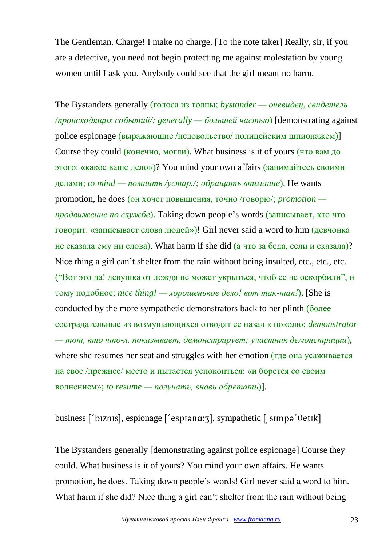The Gentleman. Charge! I make no charge. [To the note taker] Really, sir, if you are a detective, you need not begin protecting me against molestation by young women until I ask you. Anybody could see that the girl meant no harm.

The Bystanders generally (голоса из толпы; *bystander — очевидец, свидетель /происходящих событий/; generally — большей частью*) [demonstrating against police espionage (выражающие /недовольство/ полицейским шпионажем)] Course they could (конечно, могли). What business is it of yours (что вам до этого: «какое ваше дело»)? You mind your own affairs (занимайтесь своими делами; *to mind — помнить /устар./; обращать внимание*). He wants promotion, he does (он хочет повышения, точно /говорю/; *promotion продвижение по службе*). Taking down people's words (записывает, кто что говорит: «записывает слова людей»)! Girl never said a word to him (девчонка не сказала ему ни слова). What harm if she did (а что за беда, если и сказала)? Nice thing a girl can't shelter from the rain without being insulted, etc., etc., etc. ("Вот это да! девушка от дождя не может укрыться, чтоб ее не оскорбили", и тому подобное; *nice thing! — хорошенькое дело! вот так-так!*). [She is conducted by the more sympathetic demonstrators back to her plinth (более сострадательные из возмущающихся отводят ее назад к цоколю; *demonstrator — тот, кто что-л. показывает, демонстрирует; участник демонстрации*), where she resumes her seat and struggles with her emotion (где она усаживается на свое /прежнее/ место и пытается успокоиться: «и борется со своим волнением»; *to resume — получать, вновь обретать*)].

business ['bɪznɪs], espionage ['espɪənɑ:ʒ], sympathetic [ sɪmpə'θetɪk]

The Bystanders generally [demonstrating against police espionage] Course they could. What business is it of yours? You mind your own affairs. He wants promotion, he does. Taking down people's words! Girl never said a word to him. What harm if she did? Nice thing a girl can't shelter from the rain without being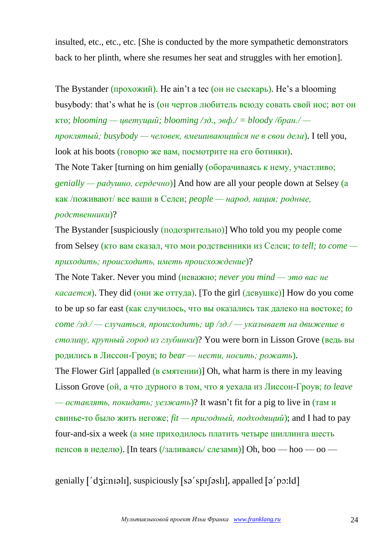insulted, etc., etc., etc. [She is conducted by the more sympathetic demonstrators back to her plinth, where she resumes her seat and struggles with her emotion].

The Bystander (прохожий). He ain't a tec (он не сыскарь). He's a blooming busybody: that's what he is (он чертов любитель всюду совать свой нос; вот он кто; *blooming — цветущий; blooming /зд., эвф./ = bloody /бран./ проклятый; busybody — человек, вмешивающийся не в свои дела*). I tell you, look at his boots (говорю же вам, посмотрите на его ботинки). The Note Taker [turning on him genially (оборачиваясь к нему, участливо; *genially — радушно, сердечно*)] And how are all your people down at Selsey (а как /поживают/ все ваши в Селси; *people — народ, нация; родные, родственники*)?

The Bystander [suspiciously (подозрительно)] Who told you my people come from Selsey (кто вам сказал, что мои родственники из Селси; *to tell; to come приходить; происходить, иметь происхождение*)?

The Note Taker. Never you mind (неважно; *never you mind — это вас не касается*). They did (они же оттуда). [To the girl (девушке)] How do you come to be up so far east (как случилось, что вы оказались так далеко на востоке; *to come /зд./ — случаться, происходить; up /зд./ — указывает на движение в столицу, крупный город из глубинки*)? You were born in Lisson Grove (ведь вы родились в Лиссон-Гроув; *to bear — нести, носить; рожать*). The Flower Girl [appalled (в смятении)] Oh, what harm is there in my leaving Lisson Grove (ой, а что дурного в том, что я уехала из Лиссон-Гроув; *to leave — оставлять, покидать; уезжать*)? It wasn't fit for a pig to live in (там и свинье-то было жить негоже; *fit — пригодный, подходящий*); and I had to pay four-and-six a week (а мне приходилось платить четыре шиллинга шесть пенсов в неделю). [In tears (/заливаясь/ слезами)] Oh, boo — hoo — oo —

genially ['dʒi:nɪəlɪ], suspiciously [sə'spɪʃəslɪ], appalled [ə'pɔ:ld]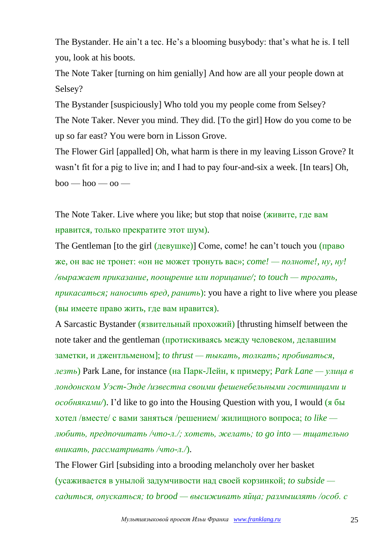The Bystander. He ain't a tec. He's a blooming busybody: that's what he is. I tell you, look at his boots.

The Note Taker [turning on him genially] And how are all your people down at Selsey?

The Bystander [suspiciously] Who told you my people come from Selsey? The Note Taker. Never you mind. They did. [To the girl] How do you come to be up so far east? You were born in Lisson Grove.

The Flower Girl [appalled] Oh, what harm is there in my leaving Lisson Grove? It wasn't fit for a pig to live in; and I had to pay four-and-six a week. [In tears] Oh,  $boo - hoo - oo -$ 

The Note Taker. Live where you like; but stop that noise (живите, где вам нравится, только прекратите этот шум).

The Gentleman [to the girl (девушке)] Come, come! he can't touch you (право же, он вас не тронет: «он не может тронуть вас»; *come! — полноте!, ну, ну! /выражает приказание, поощрение или порицание/; to touch — трогать, прикасаться; наносить вред, ранить*): you have a right to live where you please (вы имеете право жить, где вам нравится).

A Sarcastic Bystander (язвительный прохожий) [thrusting himself between the note taker and the gentleman (протискиваясь между человеком, делавшим заметки, и джентльменом]; *to thrust — тыкать, толкать; пробиваться, лезть*) Park Lane, for instance (на Парк-Лейн, к примеру; *Park Lane — улица в лондонском Уэст-Энде /известна своими фешенебельными гостиницами и особняками/*). I'd like to go into the Housing Question with you, I would (я бы хотел /вместе/ с вами заняться /решением/ жилищного вопроса; *to like любить, предпочитать /что-л./; хотеть, желать; to go into — тщательно вникать, рассматривать /что-л./*).

The Flower Girl [subsiding into a brooding melancholy over her basket (усаживается в унылой задумчивости над своей корзинкой; *to subside садиться, опускаться; to brood — высиживать яйца; размышлять /особ. с*